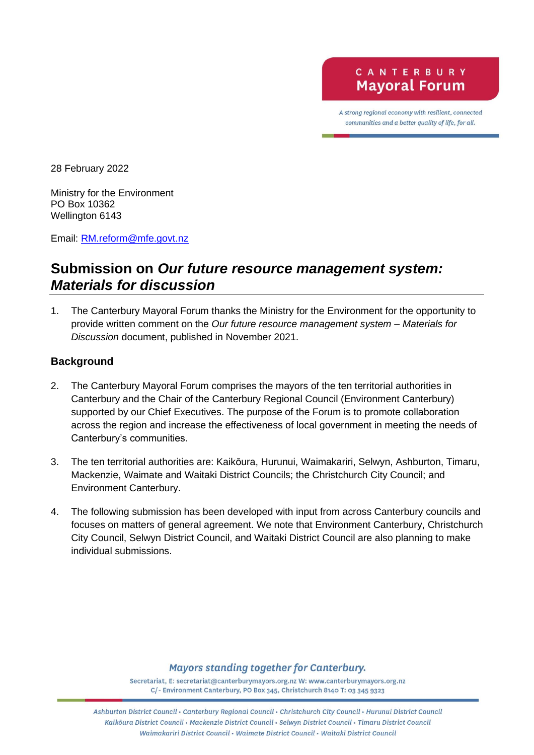A strong regional economy with resilient, connected communities and a better quality of life, for all.

28 February 2022

Ministry for the Environment PO Box 10362 Wellington 6143

Email: [RM.reform@mfe.govt.nz](mailto:RM.reform@mfe.govt.nz)

## **Submission on** *Our future resource management system: Materials for discussion*

1. The Canterbury Mayoral Forum thanks the Ministry for the Environment for the opportunity to provide written comment on the *Our future resource management system – Materials for Discussion* document, published in November 2021.

## **Background**

- 2. The Canterbury Mayoral Forum comprises the mayors of the ten territorial authorities in Canterbury and the Chair of the Canterbury Regional Council (Environment Canterbury) supported by our Chief Executives. The purpose of the Forum is to promote collaboration across the region and increase the effectiveness of local government in meeting the needs of Canterbury's communities.
- 3. The ten territorial authorities are: Kaikōura, Hurunui, Waimakariri, Selwyn, Ashburton, Timaru, Mackenzie, Waimate and Waitaki District Councils; the Christchurch City Council; and Environment Canterbury.
- 4. The following submission has been developed with input from across Canterbury councils and focuses on matters of general agreement. We note that Environment Canterbury, Christchurch City Council, Selwyn District Council, and Waitaki District Council are also planning to make individual submissions.

**Mayors standing together for Canterbury.** 

Secretariat, E: secretariat@canterburymayors.org.nz W: www.canterburymayors.org.nz C/- Environment Canterbury, PO Box 345, Christchurch 8140 T: 03 345 9323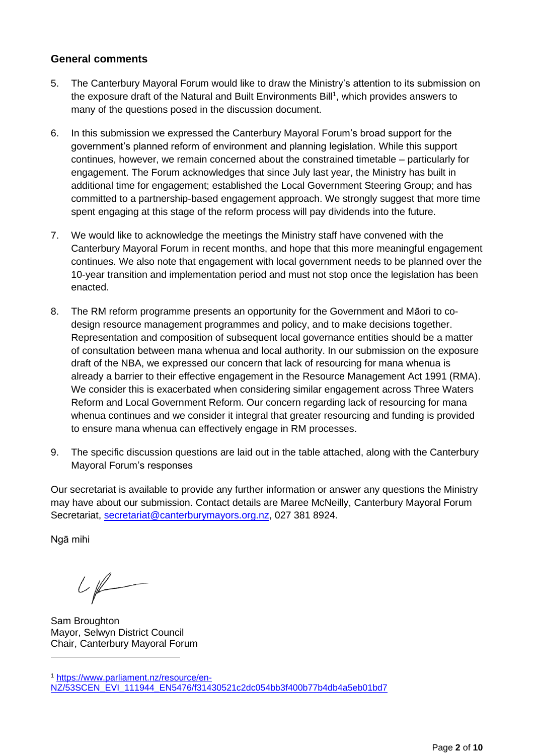## **General comments**

- 5. The Canterbury Mayoral Forum would like to draw the Ministry's attention to its submission on the exposure draft of the Natural and Built Environments Bill<sup>1</sup>, which provides answers to many of the questions posed in the discussion document.
- 6. In this submission we expressed the Canterbury Mayoral Forum's broad support for the government's planned reform of environment and planning legislation. While this support continues, however, we remain concerned about the constrained timetable – particularly for engagement. The Forum acknowledges that since July last year, the Ministry has built in additional time for engagement; established the Local Government Steering Group; and has committed to a partnership-based engagement approach. We strongly suggest that more time spent engaging at this stage of the reform process will pay dividends into the future.
- 7. We would like to acknowledge the meetings the Ministry staff have convened with the Canterbury Mayoral Forum in recent months, and hope that this more meaningful engagement continues. We also note that engagement with local government needs to be planned over the 10-year transition and implementation period and must not stop once the legislation has been enacted.
- 8. The RM reform programme presents an opportunity for the Government and Māori to codesign resource management programmes and policy, and to make decisions together. Representation and composition of subsequent local governance entities should be a matter of consultation between mana whenua and local authority. In our submission on the exposure draft of the NBA, we expressed our concern that lack of resourcing for mana whenua is already a barrier to their effective engagement in the Resource Management Act 1991 (RMA). We consider this is exacerbated when considering similar engagement across Three Waters Reform and Local Government Reform. Our concern regarding lack of resourcing for mana whenua continues and we consider it integral that greater resourcing and funding is provided to ensure mana whenua can effectively engage in RM processes.
- 9. The specific discussion questions are laid out in the table attached, along with the Canterbury Mayoral Forum's responses

Our secretariat is available to provide any further information or answer any questions the Ministry may have about our submission. Contact details are Maree McNeilly, Canterbury Mayoral Forum Secretariat, [secretariat@canterburymayors.org.nz,](mailto:secretariat@canterburymayors.org.nz) 027 381 8924.

Ngā mihi

 $U\not\models$ 

Sam Broughton Mayor, Selwyn District Council Chair, Canterbury Mayoral Forum

<sup>1</sup> [https://www.parliament.nz/resource/en-](https://www.parliament.nz/resource/en-NZ/53SCEN_EVI_111944_EN5476/f31430521c2dc054bb3f400b77b4db4a5eb01bd7)[NZ/53SCEN\\_EVI\\_111944\\_EN5476/f31430521c2dc054bb3f400b77b4db4a5eb01bd7](https://www.parliament.nz/resource/en-NZ/53SCEN_EVI_111944_EN5476/f31430521c2dc054bb3f400b77b4db4a5eb01bd7)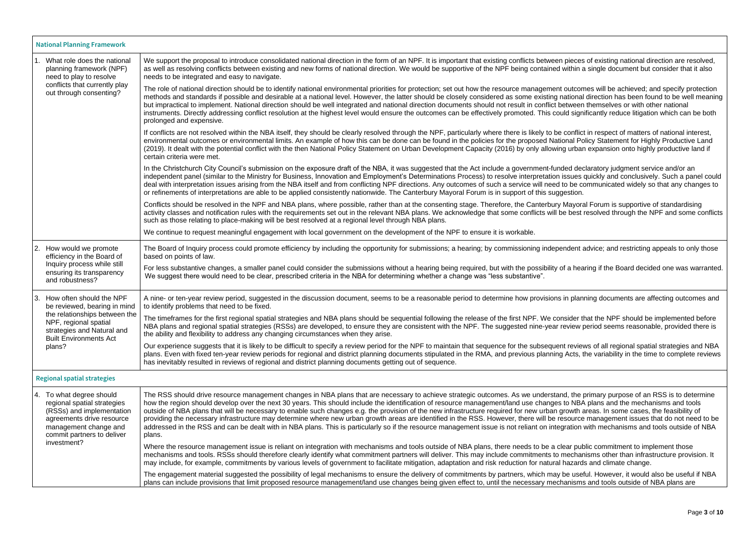|            | <b>National Planning Framework</b>                                                                                                                                                          |                                                                                                                                                                                                                                                                                                                                                                                                                                                                                                                                                                                                                                                                                                                                                          |  |
|------------|---------------------------------------------------------------------------------------------------------------------------------------------------------------------------------------------|----------------------------------------------------------------------------------------------------------------------------------------------------------------------------------------------------------------------------------------------------------------------------------------------------------------------------------------------------------------------------------------------------------------------------------------------------------------------------------------------------------------------------------------------------------------------------------------------------------------------------------------------------------------------------------------------------------------------------------------------------------|--|
|            | What role does the national<br>planning framework (NPF)<br>need to play to resolve<br>conflicts that currently play<br>out through consenting?                                              | We support the proposal to introduce consolidated national direction in the form of an NPF. It is important that existing conflicts between pieces<br>as well as resolving conflicts between existing and new forms of national direction. We would be supportive of the NPF being contained within a<br>needs to be integrated and easy to navigate.                                                                                                                                                                                                                                                                                                                                                                                                    |  |
|            |                                                                                                                                                                                             | The role of national direction should be to identify national environmental priorities for protection; set out how the resource management outcom<br>methods and standards if possible and desirable at a national level. However, the latter should be closely considered as some existing national<br>but impractical to implement. National direction should be well integrated and national direction documents should not result in conflict between<br>instruments. Directly addressing conflict resolution at the highest level would ensure the outcomes can be effectively promoted. This could signi<br>prolonged and expensive.                                                                                                               |  |
|            |                                                                                                                                                                                             | If conflicts are not resolved within the NBA itself, they should be clearly resolved through the NPF, particularly where there is likely to be conflict<br>environmental outcomes or environmental limits. An example of how this can be done can be found in the policies for the proposed National Po<br>(2019). It dealt with the potential conflict with the then National Policy Statement on Urban Development Capacity (2016) by only allowing urban<br>certain criteria were met.                                                                                                                                                                                                                                                                |  |
|            |                                                                                                                                                                                             | In the Christchurch City Council's submission on the exposure draft of the NBA, it was suggested that the Act include a government-funded dec<br>independent panel (similar to the Ministry for Business, Innovation and Employment's Determinations Process) to resolve interpretation issues or<br>deal with interpretation issues arising from the NBA itself and from conflicting NPF directions. Any outcomes of such a service will need to be co<br>or refinements of interpretations are able to be applied consistently nationwide. The Canterbury Mayoral Forum is in support of this suggestion.                                                                                                                                              |  |
|            |                                                                                                                                                                                             | Conflicts should be resolved in the NPF and NBA plans, where possible, rather than at the consenting stage. Therefore, the Canterbury Mayora<br>activity classes and notification rules with the requirements set out in the relevant NBA plans. We acknowledge that some conflicts will be best r<br>such as those relating to place-making will be best resolved at a regional level through NBA plans.                                                                                                                                                                                                                                                                                                                                                |  |
|            |                                                                                                                                                                                             | We continue to request meaningful engagement with local government on the development of the NPF to ensure it is workable.                                                                                                                                                                                                                                                                                                                                                                                                                                                                                                                                                                                                                               |  |
| <u> 2.</u> | How would we promote<br>efficiency in the Board of<br>Inquiry process while still<br>ensuring its transparency<br>and robustness?                                                           | The Board of Inquiry process could promote efficiency by including the opportunity for submissions; a hearing; by commissioning independent a<br>based on points of law.                                                                                                                                                                                                                                                                                                                                                                                                                                                                                                                                                                                 |  |
|            |                                                                                                                                                                                             | For less substantive changes, a smaller panel could consider the submissions without a hearing being required, but with the possibility of a hea<br>We suggest there would need to be clear, prescribed criteria in the NBA for determining whether a change was "less substantive".                                                                                                                                                                                                                                                                                                                                                                                                                                                                     |  |
| $\vert 3.$ | How often should the NPF<br>be reviewed, bearing in mind<br>the relationships between the<br>NPF, regional spatial<br>strategies and Natural and<br><b>Built Environments Act</b><br>plans? | A nine- or ten-year review period, suggested in the discussion document, seems to be a reasonable period to determine how provisions in planr<br>to identify problems that need to be fixed.                                                                                                                                                                                                                                                                                                                                                                                                                                                                                                                                                             |  |
|            |                                                                                                                                                                                             | The timeframes for the first regional spatial strategies and NBA plans should be sequential following the release of the first NPF. We consider the<br>NBA plans and regional spatial strategies (RSSs) are developed, to ensure they are consistent with the NPF. The suggested nine-year review p<br>the ability and flexibility to address any changing circumstances when they arise.                                                                                                                                                                                                                                                                                                                                                                |  |
|            |                                                                                                                                                                                             | Our experience suggests that it is likely to be difficult to specify a review period for the NPF to maintain that sequence for the subsequent reviev<br>plans. Even with fixed ten-year review periods for regional and district planning documents stipulated in the RMA, and previous planning Acts, tl<br>has inevitably resulted in reviews of regional and district planning documents getting out of sequence.                                                                                                                                                                                                                                                                                                                                     |  |
|            | <b>Regional spatial strategies</b>                                                                                                                                                          |                                                                                                                                                                                                                                                                                                                                                                                                                                                                                                                                                                                                                                                                                                                                                          |  |
|            | 4. To what degree should<br>regional spatial strategies<br>(RSSs) and implementation<br>agreements drive resource<br>management change and<br>commit partners to deliver<br>investment?     | The RSS should drive resource management changes in NBA plans that are necessary to achieve strategic outcomes. As we understand, the p<br>how the region should develop over the next 30 years. This should include the identification of resource management/land use changes to NBA<br>outside of NBA plans that will be necessary to enable such changes e.g. the provision of the new infrastructure required for new urban growth a<br>providing the necessary infrastructure may determine where new urban growth areas are identified in the RSS. However, there will be resource<br>addressed in the RSS and can be dealt with in NBA plans. This is particularly so if the resource management issue is not reliant on integration v<br>plans. |  |
|            |                                                                                                                                                                                             | Where the resource management issue is reliant on integration with mechanisms and tools outside of NBA plans, there needs to be a clear pub<br>mechanisms and tools. RSSs should therefore clearly identify what commitment partners will deliver. This may include commitments to mechan<br>may include, for example, commitments by various levels of government to facilitate mitigation, adaptation and risk reduction for natural hazards                                                                                                                                                                                                                                                                                                           |  |
|            |                                                                                                                                                                                             | The engagement material suggested the possibility of legal mechanisms to ensure the delivery of commitments by partners, which may be usef<br>plans can include provisions that limit proposed resource management/land use changes being given effect to, until the necessary mechanisms                                                                                                                                                                                                                                                                                                                                                                                                                                                                |  |

ieces of existing national direction are resolved, ithin a single document but consider that it also

utcomes will be achieved; and specify protection tional direction has been found to be well meaning ween themselves or with other national significantly reduce litigation which can be both

onflict in respect of matters of national interest, hal Policy Statement for Highly Productive Land urban expansion onto highly productive land if

d declaratory judgment service and/or an sues quickly and conclusively. Such a panel could be communicated widely so that any changes to

layoral Forum is supportive of standardising best resolved through the NPF and some conflicts

dent advice; and restricting appeals to only those

a hearing if the Board decided one was warranted.

planning documents are affecting outcomes and

ider that the NPF should be implemented before view period seems reasonable, provided there is

reviews of all regional spatial strategies and NBA Acts, the variability in the time to complete reviews

the primary purpose of an RSS is to determine Row NBA plans and the mechanisms and tools. owth areas. In some cases, the feasibility of ource management issues that do not need to be ation with mechanisms and tools outside of NBA

ar public commitment to implement those echanisms other than infrastructure provision. It azards and climate change.

useful. However, it would also be useful if NBA nisms and tools outside of NBA plans are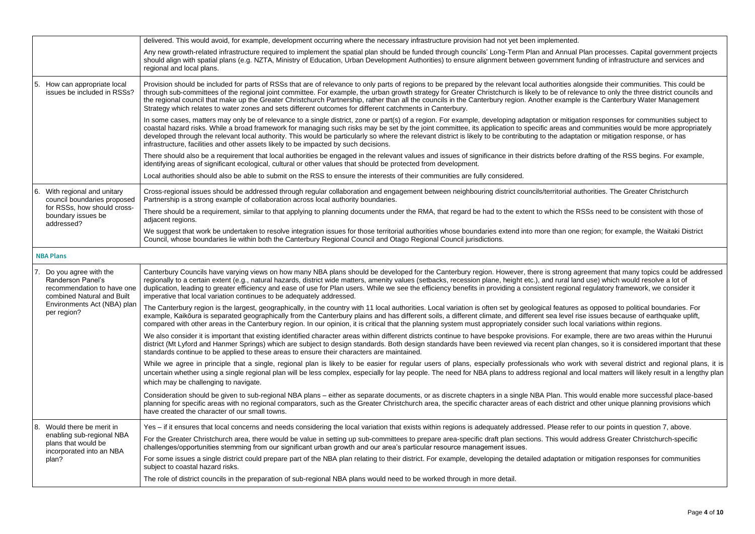|      |                                                                                                                                                                | delivered. This would avoid, for example, development occurring where the necessary infrastructure provision had not yet been implemented.                                                                                                                                                                                                                                                                                                                                                                                                                          |
|------|----------------------------------------------------------------------------------------------------------------------------------------------------------------|---------------------------------------------------------------------------------------------------------------------------------------------------------------------------------------------------------------------------------------------------------------------------------------------------------------------------------------------------------------------------------------------------------------------------------------------------------------------------------------------------------------------------------------------------------------------|
|      |                                                                                                                                                                | Any new growth-related infrastructure required to implement the spatial plan should be funded through councils' Long-Term Plan and Annual<br>should align with spatial plans (e.g. NZTA, Ministry of Education, Urban Development Authorities) to ensure alignment between government f<br>regional and local plans.                                                                                                                                                                                                                                                |
| 5.   | How can appropriate local<br>issues be included in RSSs?                                                                                                       | Provision should be included for parts of RSSs that are of relevance to only parts of regions to be prepared by the relevant local authorities al<br>through sub-committees of the regional joint committee. For example, the urban growth strategy for Greater Christchurch is likely to be of rele<br>the regional council that make up the Greater Christchurch Partnership, rather than all the councils in the Canterbury region. Another example<br>Strategy which relates to water zones and sets different outcomes for different catchments in Canterbury. |
|      |                                                                                                                                                                | In some cases, matters may only be of relevance to a single district, zone or part(s) of a region. For example, developing adaptation or mitiga<br>coastal hazard risks. While a broad framework for managing such risks may be set by the joint committee, its application to specific areas and<br>developed through the relevant local authority. This would be particularly so where the relevant district is likely to be contributing to the adapta<br>infrastructure, facilities and other assets likely to be impacted by such decisions.                   |
|      |                                                                                                                                                                | There should also be a requirement that local authorities be engaged in the relevant values and issues of significance in their districts before<br>identifying areas of significant ecological, cultural or other values that should be protected from development.                                                                                                                                                                                                                                                                                                |
|      |                                                                                                                                                                | Local authorities should also be able to submit on the RSS to ensure the interests of their communities are fully considered.                                                                                                                                                                                                                                                                                                                                                                                                                                       |
| 6.   | With regional and unitary<br>council boundaries proposed<br>for RSSs, how should cross-<br>boundary issues be<br>addressed?                                    | Cross-regional issues should be addressed through regular collaboration and engagement between neighbouring district councils/territorial at<br>Partnership is a strong example of collaboration across local authority boundaries.                                                                                                                                                                                                                                                                                                                                 |
|      |                                                                                                                                                                | There should be a requirement, similar to that applying to planning documents under the RMA, that regard be had to the extent to which the F<br>adjacent regions.                                                                                                                                                                                                                                                                                                                                                                                                   |
|      |                                                                                                                                                                | We suggest that work be undertaken to resolve integration issues for those territorial authorities whose boundaries extend into more than one<br>Council, whose boundaries lie within both the Canterbury Regional Council and Otago Regional Council jurisdictions.                                                                                                                                                                                                                                                                                                |
|      | <b>NBA Plans</b>                                                                                                                                               |                                                                                                                                                                                                                                                                                                                                                                                                                                                                                                                                                                     |
|      | 7. Do you agree with the<br><b>Randerson Panel's</b><br>recommendation to have one<br>combined Natural and Built<br>Environments Act (NBA) plan<br>per region? | Canterbury Councils have varying views on how many NBA plans should be developed for the Canterbury region. However, there is strong a<br>regionally to a certain extent (e.g., natural hazards, district wide matters, amenity values (setbacks, recession plane, height etc.), and rural lar<br>duplication, leading to greater efficiency and ease of use for Plan users. While we see the efficiency benefits in providing a consistent regiona<br>imperative that local variation continues to be adequately addressed.                                        |
|      |                                                                                                                                                                | The Canterbury region is the largest, geographically, in the country with 11 local authorities. Local variation is often set by geological features<br>example, Kaikōura is separated geographically from the Canterbury plains and has different soils, a different climate, and different sea level ri<br>compared with other areas in the Canterbury region. In our opinion, it is critical that the planning system must appropriately consider such loc                                                                                                        |
|      |                                                                                                                                                                | We also consider it is important that existing identified character areas within different districts continue to have bespoke provisions. For exan<br>district (Mt Lyford and Hanmer Springs) which are subject to design standards. Both design standards have been reviewed via recent plan ch<br>standards continue to be applied to these areas to ensure their characters are maintained.                                                                                                                                                                      |
|      |                                                                                                                                                                | While we agree in principle that a single, regional plan is likely to be easier for regular users of plans, especially professionals who wor<br>uncertain whether using a single regional plan will be less complex, especially for lay people. The need for NBA plans to address regional and<br>which may be challenging to navigate.                                                                                                                                                                                                                             |
|      |                                                                                                                                                                | Consideration should be given to sub-regional NBA plans – either as separate documents, or as discrete chapters in a single NBA Plan. This<br>planning for specific areas with no regional comparators, such as the Greater Christchurch area, the specific character areas of each district a<br>have created the character of our small towns.                                                                                                                                                                                                                    |
| l 8. | Would there be merit in                                                                                                                                        | Yes – if it ensures that local concerns and needs considering the local variation that exists within regions is adequately addressed. Please ref                                                                                                                                                                                                                                                                                                                                                                                                                    |
|      | enabling sub-regional NBA<br>plans that would be<br>incorporated into an NBA<br>plan?                                                                          | For the Greater Christchurch area, there would be value in setting up sub-committees to prepare area-specific draft plan sections. This would<br>challenges/opportunities stemming from our significant urban growth and our area's particular resource management issues.                                                                                                                                                                                                                                                                                          |
|      |                                                                                                                                                                | For some issues a single district could prepare part of the NBA plan relating to their district. For example, developing the detailed adaptation of<br>subject to coastal hazard risks.                                                                                                                                                                                                                                                                                                                                                                             |
|      |                                                                                                                                                                | The role of district councils in the preparation of sub-regional NBA plans would need to be worked through in more detail.                                                                                                                                                                                                                                                                                                                                                                                                                                          |

ual Plan processes. Capital government projects Int funding of infrastructure and services and

s alongside their communities. This could be relevance to only the three district councils and mple is the Canterbury Water Management

tigation responses for communities subject to and communities would be more appropriately aptation or mitigation response, or has

ore drafting of the RSS begins. For example,

al authorities. The Greater Christchurch

ne RSSs need to be consistent with those of

one region; for example, the Waitaki District

g agreement that many topics could be addressed land use) which would resolve a lot of onal regulatory framework, we consider it

res as opposed to political boundaries. For el rise issues because of earthquake uplift, local variations within regions.

xample, there are two areas within the Hurunui changes, so it is considered important that these

work with several district and regional plans, it is and local matters will likely result in a lengthy plan

his would enable more successful place-based ict and other unique planning provisions which

refer to our points in question 7, above. ould address Greater Christchurch-specific

on or mitigation responses for communities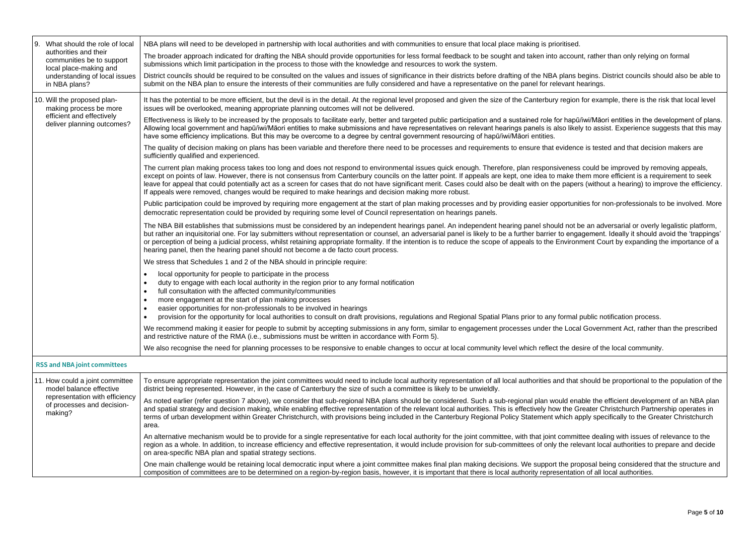| l 9.<br>What should the role of local                                        | NBA plans will need to be developed in partnership with local authorities and with communities to ensure that local place making is prioritised.                                                                                                                                                                                                                                                                                                                                                                                                                                |
|------------------------------------------------------------------------------|---------------------------------------------------------------------------------------------------------------------------------------------------------------------------------------------------------------------------------------------------------------------------------------------------------------------------------------------------------------------------------------------------------------------------------------------------------------------------------------------------------------------------------------------------------------------------------|
| authorities and their<br>communities be to support<br>local place-making and | The broader approach indicated for drafting the NBA should provide opportunities for less formal feedback to be sought and taken into account, rather<br>submissions which limit participation in the process to those with the knowledge and resources to work the system.                                                                                                                                                                                                                                                                                                     |
| understanding of local issues<br>in NBA plans?                               | District councils should be required to be consulted on the values and issues of significance in their districts before drafting of the NBA plans begins. I<br>submit on the NBA plan to ensure the interests of their communities are fully considered and have a representative on the panel for relevant hearings.                                                                                                                                                                                                                                                           |
| 10. Will the proposed plan-<br>making process be more                        | It has the potential to be more efficient, but the devil is in the detail. At the regional level proposed and given the size of the Canterbury region for exare<br>issues will be overlooked, meaning appropriate planning outcomes will not be delivered.                                                                                                                                                                                                                                                                                                                      |
| efficient and effectively<br>deliver planning outcomes?                      | Effectiveness is likely to be increased by the proposals to facilitate early, better and targeted public participation and a sustained role for hapū/iwi/Māc<br>Allowing local government and hapū/iwi/Māori entities to make submissions and have representatives on relevant hearings panels is also likely to ass<br>have some efficiency implications. But this may be overcome to a degree by central government resourcing of hapū/iwi/Māori entities.                                                                                                                    |
|                                                                              | The quality of decision making on plans has been variable and therefore there need to be processes and requirements to ensure that evidence is test<br>sufficiently qualified and experienced.                                                                                                                                                                                                                                                                                                                                                                                  |
|                                                                              | The current plan making process takes too long and does not respond to environmental issues quick enough. Therefore, plan responsiveness could b<br>except on points of law. However, there is not consensus from Canterbury councils on the latter point. If appeals are kept, one idea to make them more<br>leave for appeal that could potentially act as a screen for cases that do not have significant merit. Cases could also be dealt with on the papers (witho<br>If appeals were removed, changes would be required to make hearings and decision making more robust. |
|                                                                              | Public participation could be improved by requiring more engagement at the start of plan making processes and by providing easier opportunities for r<br>democratic representation could be provided by requiring some level of Council representation on hearings panels.                                                                                                                                                                                                                                                                                                      |
|                                                                              | The NBA Bill establishes that submissions must be considered by an independent hearings panel. An independent hearing panel should not be an ad<br>but rather an inquisitorial one. For lay submitters without representation or counsel, an adversarial panel is likely to be a further barrier to engagement<br>or perception of being a judicial process, whilst retaining appropriate formality. If the intention is to reduce the scope of appeals to the Environment Co<br>hearing panel, then the hearing panel should not become a de facto court process.              |
|                                                                              | We stress that Schedules 1 and 2 of the NBA should in principle require:                                                                                                                                                                                                                                                                                                                                                                                                                                                                                                        |
|                                                                              | local opportunity for people to participate in the process<br>duty to engage with each local authority in the region prior to any formal notification<br>full consultation with the affected community/communities<br>more engagement at the start of plan making processes<br>easier opportunities for non-professionals to be involved in hearings<br>provision for the opportunity for local authorities to consult on draft provisions, regulations and Regional Spatial Plans prior to any formal public no                                                                |
|                                                                              | We recommend making it easier for people to submit by accepting submissions in any form, similar to engagement processes under the Local Govern<br>and restrictive nature of the RMA (i.e., submissions must be written in accordance with Form 5).                                                                                                                                                                                                                                                                                                                             |
|                                                                              | We also recognise the need for planning processes to be responsive to enable changes to occur at local community level which reflect the desire of the                                                                                                                                                                                                                                                                                                                                                                                                                          |
| <b>RSS and NBA joint committees</b>                                          |                                                                                                                                                                                                                                                                                                                                                                                                                                                                                                                                                                                 |
| 11. How could a joint committee<br>model balance effective                   | To ensure appropriate representation the joint committees would need to include local authority representation of all local authorities and that should b<br>district being represented. However, in the case of Canterbury the size of such a committee is likely to be unwieldly.                                                                                                                                                                                                                                                                                             |
| representation with efficiency<br>of processes and decision-<br>making?      | As noted earlier (refer question 7 above), we consider that sub-regional NBA plans should be considered. Such a sub-regional plan would enable the<br>and spatial strategy and decision making, while enabling effective representation of the relevant local authorities. This is effectively how the Greater C<br>terms of urban development within Greater Christchurch, with provisions being included in the Canterbury Regional Policy Statement which apply spe<br>area.                                                                                                 |
|                                                                              | An alternative mechanism would be to provide for a single representative for each local authority for the joint committee, with that joint committee deal<br>region as a whole. In addition, to increase efficiency and effective representation, it would include provision for sub-committees of only the relevant loo<br>on area-specific NBA plan and spatial strategy sections.                                                                                                                                                                                            |
|                                                                              | One main challenge would be retaining local democratic input where a joint committee makes final plan making decisions. We support the proposal be<br>composition of committees are to be determined on a region-by-region basis, however, it is important that there is local authority representation of all I                                                                                                                                                                                                                                                                |

ount, rather than only relying on formal

ns begins. District councils should also be able to

ion for example, there is the risk that local level

apū/iwi/Māori entities in the development of plans. ikely to assist. Experience suggests that this may

ence is tested and that decision makers are

ess could be improved by removing appeals, e them more efficient is a requirement to seek pers (without a hearing) to improve the efficiency.

unities for non-professionals to be involved. More

ot be an adversarial or overly legalistic platform, ngagement. Ideally it should avoid the 'trappings' ronment Court by expanding the importance of a

ral public notification process.

ocal Government Act, rather than the prescribed

desire of the local community.

hat should be proportional to the population of the

enable the efficient development of an NBA plan **Greater Christchurch Partnership operates in** n apply specifically to the Greater Christchurch

imittee dealing with issues of relevance to the relevant local authorities to prepare and decide

proposal being considered that the structure and ation of all local authorities.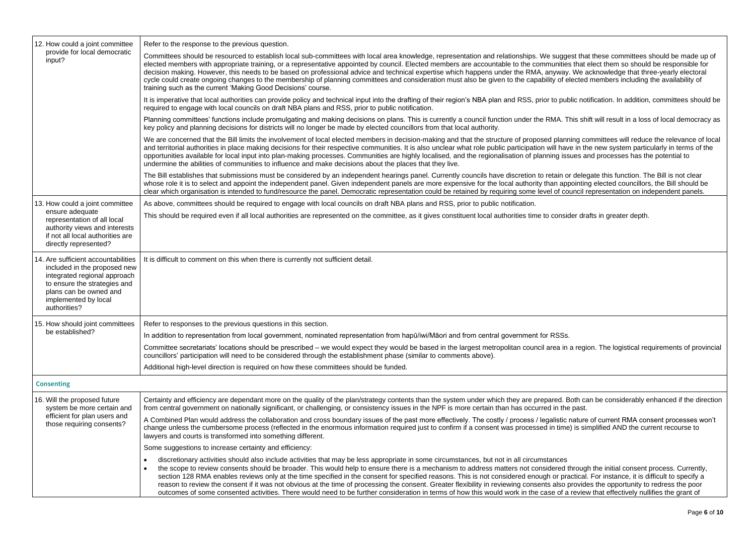| 12. How could a joint committee                                                                                                                                                                       | Refer to the response to the previous question.                                                                                                                                                                                                                                                                                                                                                                                                                                                                                                                                                                                                                                                                                                    |
|-------------------------------------------------------------------------------------------------------------------------------------------------------------------------------------------------------|----------------------------------------------------------------------------------------------------------------------------------------------------------------------------------------------------------------------------------------------------------------------------------------------------------------------------------------------------------------------------------------------------------------------------------------------------------------------------------------------------------------------------------------------------------------------------------------------------------------------------------------------------------------------------------------------------------------------------------------------------|
| provide for local democratic<br>input?                                                                                                                                                                | Committees should be resourced to establish local sub-committees with local area knowledge, representation and relationships. We suggest that<br>elected members with appropriate training, or a representative appointed by council. Elected members are accountable to the communities that<br>decision making. However, this needs to be based on professional advice and technical expertise which happens under the RMA, anyway. We<br>cycle could create ongoing changes to the membership of planning committees and consideration must also be given to the capability of elected<br>training such as the current 'Making Good Decisions' course.                                                                                          |
|                                                                                                                                                                                                       | It is imperative that local authorities can provide policy and technical input into the drafting of their region's NBA plan and RSS, prior to public no<br>required to engage with local councils on draft NBA plans and RSS, prior to public notification.                                                                                                                                                                                                                                                                                                                                                                                                                                                                                        |
|                                                                                                                                                                                                       | Planning committees' functions include promulgating and making decisions on plans. This is currently a council function under the RMA. This sh<br>key policy and planning decisions for districts will no longer be made by elected councillors from that local authority.                                                                                                                                                                                                                                                                                                                                                                                                                                                                         |
|                                                                                                                                                                                                       | We are concerned that the Bill limits the involvement of local elected members in decision-making and that the structure of proposed planning contained that the structure of proposed planning contained that the structure o<br>and territorial authorities in place making decisions for their respective communities. It is also unclear what role public participation will have in the<br>opportunities available for local input into plan-making processes. Communities are highly localised, and the regionalisation of planning issues a<br>undermine the abilities of communities to influence and make decisions about the places that they live.                                                                                      |
|                                                                                                                                                                                                       | The Bill establishes that submissions must be considered by an independent hearings panel. Currently councils have discretion to retain or dele<br>whose role it is to select and appoint the independent panel. Given independent panels are more expensive for the local authority than appointin<br>clear which organisation is intended to fund/resource the panel. Democratic representation could be retained by requiring some level of council i                                                                                                                                                                                                                                                                                           |
| 13. How could a joint committee                                                                                                                                                                       | As above, committees should be required to engage with local councils on draft NBA plans and RSS, prior to public notification.                                                                                                                                                                                                                                                                                                                                                                                                                                                                                                                                                                                                                    |
| ensure adequate<br>representation of all local<br>authority views and interests<br>if not all local authorities are<br>directly represented?                                                          | This should be required even if all local authorities are represented on the committee, as it gives constituent local authorities time to consider dra                                                                                                                                                                                                                                                                                                                                                                                                                                                                                                                                                                                             |
| 14. Are sufficient accountabilities<br>included in the proposed new<br>integrated regional approach<br>to ensure the strategies and<br>plans can be owned and<br>implemented by local<br>authorities? | It is difficult to comment on this when there is currently not sufficient detail.                                                                                                                                                                                                                                                                                                                                                                                                                                                                                                                                                                                                                                                                  |
| 15. How should joint committees                                                                                                                                                                       | Refer to responses to the previous questions in this section.                                                                                                                                                                                                                                                                                                                                                                                                                                                                                                                                                                                                                                                                                      |
| be established?                                                                                                                                                                                       | In addition to representation from local government, nominated representation from hapū/iwi/Māori and from central government for RSSs.                                                                                                                                                                                                                                                                                                                                                                                                                                                                                                                                                                                                            |
|                                                                                                                                                                                                       | Committee secretariats' locations should be prescribed – we would expect they would be based in the largest metropolitan council area in a regi<br>councillors' participation will need to be considered through the establishment phase (similar to comments above).                                                                                                                                                                                                                                                                                                                                                                                                                                                                              |
|                                                                                                                                                                                                       | Additional high-level direction is required on how these committees should be funded.                                                                                                                                                                                                                                                                                                                                                                                                                                                                                                                                                                                                                                                              |
| <b>Consenting</b>                                                                                                                                                                                     |                                                                                                                                                                                                                                                                                                                                                                                                                                                                                                                                                                                                                                                                                                                                                    |
| 16. Will the proposed future<br>system be more certain and                                                                                                                                            | Certainty and efficiency are dependant more on the quality of the plan/strategy contents than the system under which they are prepared. Both can<br>from central government on nationally significant, or challenging, or consistency issues in the NPF is more certain than has occurred in the past.                                                                                                                                                                                                                                                                                                                                                                                                                                             |
| efficient for plan users and<br>those requiring consents?                                                                                                                                             | A Combined Plan would address the collaboration and cross boundary issues of the past more effectively. The costly / process / legalistic nature<br>change unless the cumbersome process (reflected in the enormous information required just to confirm if a consent was processed in time) is si<br>lawyers and courts is transformed into something different.                                                                                                                                                                                                                                                                                                                                                                                  |
|                                                                                                                                                                                                       | Some suggestions to increase certainty and efficiency:                                                                                                                                                                                                                                                                                                                                                                                                                                                                                                                                                                                                                                                                                             |
|                                                                                                                                                                                                       | discretionary activities should also include activities that may be less appropriate in some circumstances, but not in all circumstances<br>$\bullet$<br>the scope to review consents should be broader. This would help to ensure there is a mechanism to address matters not considered throug<br>section 128 RMA enables reviews only at the time specified in the consent for specified reasons. This is not considered enough or practical<br>reason to review the consent if it was not obvious at the time of processing the consent. Greater flexibility in reviewing consents also provide<br>outcomes of some consented activities. There would need to be further consideration in terms of how this would work in the case of a revier |

est that these committees should be made up of s that elect them so should be responsible for . We acknowledge that three-yearly electoral lected members including the availability of

blic notification. In addition, committees should be

his shift will result in a loss of local democracy as

ning committees will reduce the relevance of local ve in the new system particularly in terms of the sues and processes has the potential to

delegate this function. The Bill is not clearing oointing elected councillors, the Bill should be uncil representation on independent panels.

der drafts in greater depth.

a region. The logistical requirements of provincial

Roth can be considerably enhanced if the direction

nature of current RMA consent processes won't e) is simplified AND the current recourse to

through the initial consent process. Currently, actical. For instance, it is difficult to specify a provides the opportunity to redress the poor outcomes of some consented activities. The some of the consideration in that effectively nullifies the grant of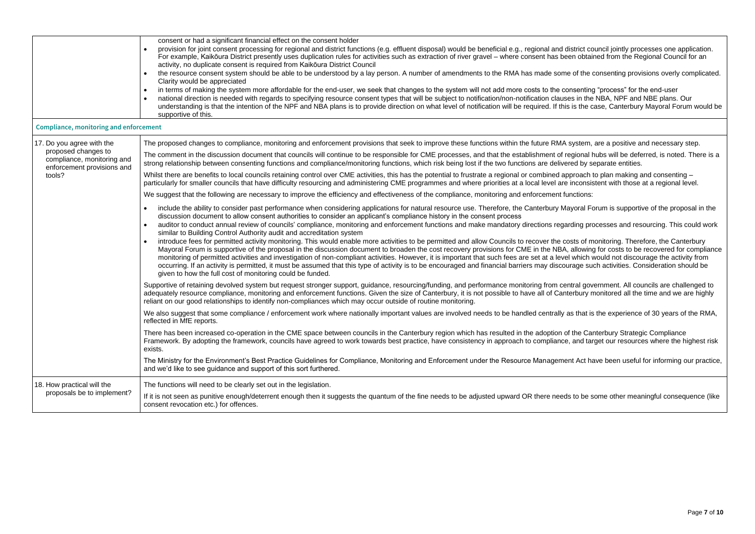|                                                                                 | consent or had a significant financial effect on the consent holder                                                                                                                                                                                                                                                                                                                                                                                                                                                                                                                                                                                                     |
|---------------------------------------------------------------------------------|-------------------------------------------------------------------------------------------------------------------------------------------------------------------------------------------------------------------------------------------------------------------------------------------------------------------------------------------------------------------------------------------------------------------------------------------------------------------------------------------------------------------------------------------------------------------------------------------------------------------------------------------------------------------------|
|                                                                                 | provision for joint consent processing for regional and district functions (e.g. effluent disposal) would be beneficial e.g., regional and district co<br>For example, Kaikōura District presently uses duplication rules for activities such as extraction of river gravel – where consent has been obtai<br>activity, no duplicate consent is required from Kaikoura District Council                                                                                                                                                                                                                                                                                 |
|                                                                                 | the resource consent system should be able to be understood by a lay person. A number of amendments to the RMA has made some of the<br>Clarity would be appreciated                                                                                                                                                                                                                                                                                                                                                                                                                                                                                                     |
|                                                                                 | in terms of making the system more affordable for the end-user, we seek that changes to the system will not add more costs to the consenting<br>national direction is needed with regards to specifying resource consent types that will be subject to notification/non-notification clauses in the<br>understanding is that the intention of the NPF and NBA plans is to provide direction on what level of notification will be required. If this is the or<br>supportive of this.                                                                                                                                                                                    |
| <b>Compliance, monitoring and enforcement</b>                                   |                                                                                                                                                                                                                                                                                                                                                                                                                                                                                                                                                                                                                                                                         |
| 17. Do you agree with the                                                       | The proposed changes to compliance, monitoring and enforcement provisions that seek to improve these functions within the future RMA system,                                                                                                                                                                                                                                                                                                                                                                                                                                                                                                                            |
| proposed changes to<br>compliance, monitoring and<br>enforcement provisions and | The comment in the discussion document that councils will continue to be responsible for CME processes, and that the establishment of regional I<br>strong relationship between consenting functions and compliance/monitoring functions, which risk being lost if the two functions are delivered by s                                                                                                                                                                                                                                                                                                                                                                 |
| tools?                                                                          | Whilst there are benefits to local councils retaining control over CME activities, this has the potential to frustrate a regional or combined approach<br>particularly for smaller councils that have difficulty resourcing and administering CME programmes and where priorities at a local level are inconsis                                                                                                                                                                                                                                                                                                                                                         |
|                                                                                 | We suggest that the following are necessary to improve the efficiency and effectiveness of the compliance, monitoring and enforcement functions:                                                                                                                                                                                                                                                                                                                                                                                                                                                                                                                        |
|                                                                                 | include the ability to consider past performance when considering applications for natural resource use. Therefore, the Canterbury Mayoral F<br>$\bullet$<br>discussion document to allow consent authorities to consider an applicant's compliance history in the consent process<br>auditor to conduct annual review of councils' compliance, monitoring and enforcement functions and make mandatory directions regarding pro<br>similar to Building Control Authority audit and accreditation system                                                                                                                                                                |
|                                                                                 | introduce fees for permitted activity monitoring. This would enable more activities to be permitted and allow Councils to recover the costs of m<br>Mayoral Forum is supportive of the proposal in the discussion document to broaden the cost recovery provisions for CME in the NBA, allowin<br>monitoring of permitted activities and investigation of non-compliant activities. However, it is important that such fees are set at a level which<br>occurring. If an activity is permitted, it must be assumed that this type of activity is to be encouraged and financial barriers may discourage su<br>given to how the full cost of monitoring could be funded. |
|                                                                                 | Supportive of retaining devolved system but request stronger support, guidance, resourcing/funding, and performance monitoring from central governity<br>adequately resource compliance, monitoring and enforcement functions. Given the size of Canterbury, it is not possible to have all of Canterbury r<br>reliant on our good relationships to identify non-compliances which may occur outside of routine monitoring.                                                                                                                                                                                                                                             |
|                                                                                 | We also suggest that some compliance / enforcement work where nationally important values are involved needs to be handled centrally as that is<br>reflected in MfE reports.                                                                                                                                                                                                                                                                                                                                                                                                                                                                                            |
|                                                                                 | There has been increased co-operation in the CME space between councils in the Canterbury region which has resulted in the adoption of the Ca<br>Framework. By adopting the framework, councils have agreed to work towards best practice, have consistency in approach to compliance, and ta<br>exists.                                                                                                                                                                                                                                                                                                                                                                |
|                                                                                 | The Ministry for the Environment's Best Practice Guidelines for Compliance, Monitoring and Enforcement under the Resource Management Act hand<br>and we'd like to see guidance and support of this sort furthered.                                                                                                                                                                                                                                                                                                                                                                                                                                                      |
| 18. How practical will the                                                      | The functions will need to be clearly set out in the legislation.                                                                                                                                                                                                                                                                                                                                                                                                                                                                                                                                                                                                       |
| proposals be to implement?                                                      | If it is not seen as punitive enough/deterrent enough then it suggests the quantum of the fine needs to be adjusted upward OR there needs to be a<br>consent revocation etc.) for offences.                                                                                                                                                                                                                                                                                                                                                                                                                                                                             |

istrict council jointly processes one application. en obtained from the Regional Council for an

 $\theta$  of the consenting provisions overly complicated.

nsenting "process" for the end-user es in the NBA, NPF and NBE plans. Our is the case, Canterbury Mayoral Forum would be

system, are a positive and necessary step.

egional hubs will be deferred, is noted. There is and that the processes ed by separate entities.

proach to plan making and consenting inconsistent with those at a regional level.

yoral Forum is supportive of the proposal in the

ding processes and resourcing. This could work

ets of monitoring. Therefore, the Canterbury allowing for costs to be recovered for compliance which would not discourage the activity from rage such activities. Consideration should be

Itral government. All councils are challenged to erbury monitored all the time and we are highly

is that is the experience of 30 years of the RMA,

the Canterbury Strategic Compliance and target our resources where the highest risk

It Act have been useful for informing our practice,

to be some other meaningful consequence (like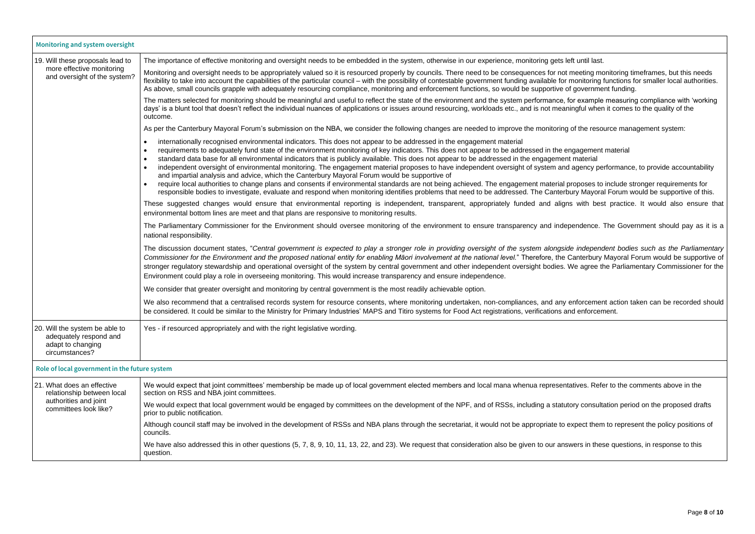The discussion document states, "*Central government is expected to play a stronger role in providing oversight of the system alongside independent bodies such as the Parliamentary Commissioner for the Environment and the proposed national entity for enabling Māori involvement at the national level.*" Therefore, the Canterbury Mayoral Forum would be supportive of We agree the Parliamentary Commissioner for the

enforcement action taken can be recorded should

atives. Refer to the comments above in the

ory consultation period on the proposed drafts

expect them to represent the policy positions of

wers in these questions, in response to this

| Monitoring and system oversight                                                                 |                                                                                                                                                                                                                                                                                                                                                                                                                                                                                                                                                                                                                                                                                                                                                                                                                                                                                                                                                                                                                                    |
|-------------------------------------------------------------------------------------------------|------------------------------------------------------------------------------------------------------------------------------------------------------------------------------------------------------------------------------------------------------------------------------------------------------------------------------------------------------------------------------------------------------------------------------------------------------------------------------------------------------------------------------------------------------------------------------------------------------------------------------------------------------------------------------------------------------------------------------------------------------------------------------------------------------------------------------------------------------------------------------------------------------------------------------------------------------------------------------------------------------------------------------------|
| 19. Will these proposals lead to                                                                | The importance of effective monitoring and oversight needs to be embedded in the system, otherwise in our experience, monitoring gets left until last.                                                                                                                                                                                                                                                                                                                                                                                                                                                                                                                                                                                                                                                                                                                                                                                                                                                                             |
| more effective monitoring<br>and oversight of the system?                                       | Monitoring and oversight needs to be appropriately valued so it is resourced properly by councils. There need to be consequences for not meeting monitor<br>flexibility to take into account the capabilities of the particular council – with the possibility of contestable government funding available for monitoring functi<br>As above, small councils grapple with adequately resourcing compliance, monitoring and enforcement functions, so would be supportive of government fur                                                                                                                                                                                                                                                                                                                                                                                                                                                                                                                                         |
|                                                                                                 | The matters selected for monitoring should be meaningful and useful to reflect the state of the environment and the system performance, for example mea<br>days' is a blunt tool that doesn't reflect the individual nuances of applications or issues around resourcing, workloads etc., and is not meaningful when it co<br>outcome.                                                                                                                                                                                                                                                                                                                                                                                                                                                                                                                                                                                                                                                                                             |
|                                                                                                 | As per the Canterbury Mayoral Forum's submission on the NBA, we consider the following changes are needed to improve the monitoring of the resource                                                                                                                                                                                                                                                                                                                                                                                                                                                                                                                                                                                                                                                                                                                                                                                                                                                                                |
|                                                                                                 | internationally recognised environmental indicators. This does not appear to be addressed in the engagement material<br>$\bullet$<br>requirements to adequately fund state of the environment monitoring of key indicators. This does not appear to be addressed in the engagement mate<br>$\bullet$<br>standard data base for all environmental indicators that is publicly available. This does not appear to be addressed in the engagement material<br>$\bullet$<br>independent oversight of environmental monitoring. The engagement material proposes to have independent oversight of system and agency perform<br>and impartial analysis and advice, which the Canterbury Mayoral Forum would be supportive of<br>require local authorities to change plans and consents if environmental standards are not being achieved. The engagement material proposes to inclu<br>responsible bodies to investigate, evaluate and respond when monitoring identifies problems that need to be addressed. The Canterbury Mayoral For |
|                                                                                                 | These suggested changes would ensure that environmental reporting is independent, transparent, appropriately funded and aligns with best pra<br>environmental bottom lines are meet and that plans are responsive to monitoring results.                                                                                                                                                                                                                                                                                                                                                                                                                                                                                                                                                                                                                                                                                                                                                                                           |
|                                                                                                 | The Parliamentary Commissioner for the Environment should oversee monitoring of the environment to ensure transparency and independence. The (<br>national responsibility.                                                                                                                                                                                                                                                                                                                                                                                                                                                                                                                                                                                                                                                                                                                                                                                                                                                         |
|                                                                                                 | The discussion document states, "Central government is expected to play a stronger role in providing oversight of the system alongside independent I<br>Commissioner for the Environment and the proposed national entity for enabling Māori involvement at the national level." Therefore, the Canterbury Mayo<br>stronger regulatory stewardship and operational oversight of the system by central government and other independent oversight bodies. We agree the Pa<br>Environment could play a role in overseeing monitoring. This would increase transparency and ensure independence.                                                                                                                                                                                                                                                                                                                                                                                                                                      |
|                                                                                                 | We consider that greater oversight and monitoring by central government is the most readily achievable option.                                                                                                                                                                                                                                                                                                                                                                                                                                                                                                                                                                                                                                                                                                                                                                                                                                                                                                                     |
|                                                                                                 | We also recommend that a centralised records system for resource consents, where monitoring undertaken, non-compliances, and any enforcement act<br>be considered. It could be similar to the Ministry for Primary Industries' MAPS and Titiro systems for Food Act registrations, verifications and enforcement.                                                                                                                                                                                                                                                                                                                                                                                                                                                                                                                                                                                                                                                                                                                  |
| 20. Will the system be able to<br>adequately respond and<br>adapt to changing<br>circumstances? | Yes - if resourced appropriately and with the right legislative wording.                                                                                                                                                                                                                                                                                                                                                                                                                                                                                                                                                                                                                                                                                                                                                                                                                                                                                                                                                           |
| Role of local government in the future system                                                   |                                                                                                                                                                                                                                                                                                                                                                                                                                                                                                                                                                                                                                                                                                                                                                                                                                                                                                                                                                                                                                    |
| 21. What does an effective<br>relationship between local                                        | We would expect that joint committees' membership be made up of local government elected members and local mana whenua representatives. Refer to t<br>section on RSS and NBA joint committees.                                                                                                                                                                                                                                                                                                                                                                                                                                                                                                                                                                                                                                                                                                                                                                                                                                     |
| authorities and joint<br>committees look like?                                                  | We would expect that local government would be engaged by committees on the development of the NPF, and of RSSs, including a statutory consultation<br>prior to public notification.                                                                                                                                                                                                                                                                                                                                                                                                                                                                                                                                                                                                                                                                                                                                                                                                                                               |
|                                                                                                 | Although council staff may be involved in the development of RSSs and NBA plans through the secretariat, it would not be appropriate to expect them to re<br>councils.                                                                                                                                                                                                                                                                                                                                                                                                                                                                                                                                                                                                                                                                                                                                                                                                                                                             |
|                                                                                                 | We have also addressed this in other questions (5, 7, 8, 9, 10, 11, 13, 22, and 23). We request that consideration also be given to our answers in these qu<br>question.                                                                                                                                                                                                                                                                                                                                                                                                                                                                                                                                                                                                                                                                                                                                                                                                                                                           |
|                                                                                                 |                                                                                                                                                                                                                                                                                                                                                                                                                                                                                                                                                                                                                                                                                                                                                                                                                                                                                                                                                                                                                                    |

meeting monitoring timeframes, but this needs monitoring functions for smaller local authorities. government funding.

or example measuring compliance with 'working ingful when it comes to the quality of the

of the resource management system:

ngagement material

agency performance, to provide accountability

roposes to include stronger requirements for ury Mayoral Forum would be supportive of this.

is with best practice. It would also ensure that

bendence. The Government should pay as it is a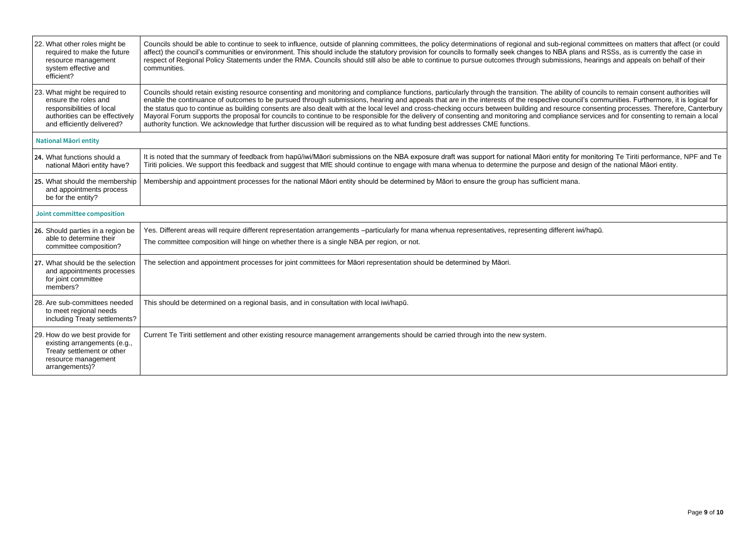| 22. What other roles might be<br>required to make the future<br>resource management<br>system effective and<br>efficient?                          | Councils should be able to continue to seek to influence, outside of planning committees, the policy determinations of regional and sub-regional committees on matters that affect (or could<br>affect) the council's communities or environment. This should include the statutory provision for councils to formally seek changes to NBA plans and RSSs, as is currently the case in<br>respect of Regional Policy Statements under the RMA. Councils should still also be able to continue to pursue outcomes through submissions, hearings and appeals on behalf of their<br>communities.                                                                                                                                                                                                                                                                                                                          |
|----------------------------------------------------------------------------------------------------------------------------------------------------|------------------------------------------------------------------------------------------------------------------------------------------------------------------------------------------------------------------------------------------------------------------------------------------------------------------------------------------------------------------------------------------------------------------------------------------------------------------------------------------------------------------------------------------------------------------------------------------------------------------------------------------------------------------------------------------------------------------------------------------------------------------------------------------------------------------------------------------------------------------------------------------------------------------------|
| 23. What might be required to<br>ensure the roles and<br>responsibilities of local<br>authorities can be effectively<br>and efficiently delivered? | Councils should retain existing resource consenting and monitoring and compliance functions, particularly through the transition. The ability of councils to remain consent authorities will<br>enable the continuance of outcomes to be pursued through submissions, hearing and appeals that are in the interests of the respective council's communities. Furthermore, it is logical for<br>the status quo to continue as building consents are also dealt with at the local level and cross-checking occurs between building and resource consenting processes. Therefore, Canterbury<br>Mayoral Forum supports the proposal for councils to continue to be responsible for the delivery of consenting and monitoring and compliance services and for consenting to remain a local<br>authority function. We acknowledge that further discussion will be required as to what funding best addresses CME functions. |
| <b>National Maori entity</b>                                                                                                                       |                                                                                                                                                                                                                                                                                                                                                                                                                                                                                                                                                                                                                                                                                                                                                                                                                                                                                                                        |
| 24. What functions should a<br>national Māori entity have?                                                                                         | It is noted that the summary of feedback from hapū/iwi/Māori submissions on the NBA exposure draft was support for national Māori entity for monitoring Te Tiriti performance, NPF and Te<br>Tiriti policies. We support this feedback and suggest that MfE should continue to engage with mana whenua to determine the purpose and design of the national Māori entity.                                                                                                                                                                                                                                                                                                                                                                                                                                                                                                                                               |
| 25. What should the membership<br>and appointments process<br>be for the entity?                                                                   | Membership and appointment processes for the national Māori entity should be determined by Māori to ensure the group has sufficient mana.                                                                                                                                                                                                                                                                                                                                                                                                                                                                                                                                                                                                                                                                                                                                                                              |
| Joint committee composition                                                                                                                        |                                                                                                                                                                                                                                                                                                                                                                                                                                                                                                                                                                                                                                                                                                                                                                                                                                                                                                                        |
| 26. Should parties in a region be<br>able to determine their<br>committee composition?                                                             | Yes. Different areas will require different representation arrangements -particularly for mana whenua representatives, representing different iwi/hapū.<br>The committee composition will hinge on whether there is a single NBA per region, or not.                                                                                                                                                                                                                                                                                                                                                                                                                                                                                                                                                                                                                                                                   |
| 27. What should be the selection<br>and appointments processes<br>for joint committee<br>members?                                                  | The selection and appointment processes for joint committees for Māori representation should be determined by Māori.                                                                                                                                                                                                                                                                                                                                                                                                                                                                                                                                                                                                                                                                                                                                                                                                   |
| 28. Are sub-committees needed<br>to meet regional needs<br>including Treaty settlements?                                                           | This should be determined on a regional basis, and in consultation with local iwi/hapū.                                                                                                                                                                                                                                                                                                                                                                                                                                                                                                                                                                                                                                                                                                                                                                                                                                |
| 29. How do we best provide for<br>existing arrangements (e.g.,<br>Treaty settlement or other<br>resource management<br>arrangements)?              | Current Te Tiriti settlement and other existing resource management arrangements should be carried through into the new system.                                                                                                                                                                                                                                                                                                                                                                                                                                                                                                                                                                                                                                                                                                                                                                                        |